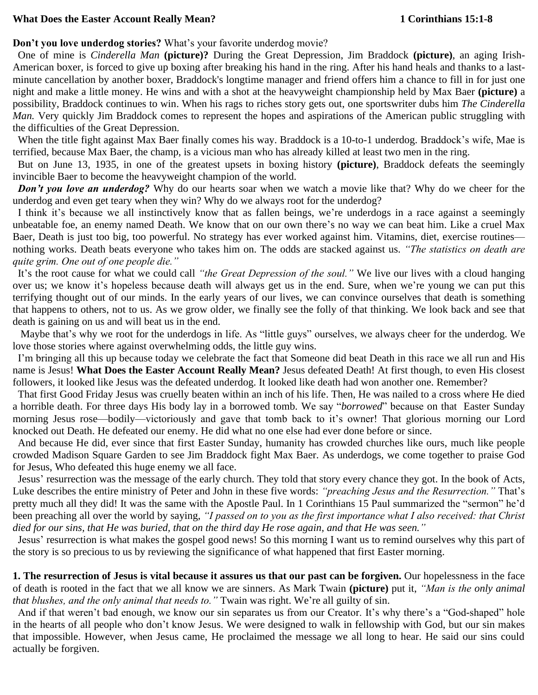## What Does the Easter Account Really Mean? 1 Corinthians 15:1-8

## **Don't you love underdog stories?** What's your favorite underdog movie?

 One of mine is *Cinderella Man* **(picture)?** During the Great Depression, Jim Braddock **(picture)**, an aging Irish-American boxer, is forced to give up boxing after breaking his hand in the ring. After his hand heals and thanks to a lastminute cancellation by another boxer, Braddock's longtime manager and friend offers him a chance to fill in for just one night and make a little money. He wins and with a shot at the heavyweight championship held by Max Baer **(picture)** a possibility, Braddock continues to win. When his rags to riches story gets out, one sportswriter dubs him *The Cinderella Man.* Very quickly Jim Braddock comes to represent the hopes and aspirations of the American public struggling with the difficulties of the Great Depression.

 When the title fight against Max Baer finally comes his way. Braddock is a 10-to-1 underdog. Braddock's wife, Mae is terrified, because Max Baer, the champ, is a vicious man who has already killed at least two men in the ring.

 But on June 13, 1935, in one of the greatest upsets in boxing history **(picture)**, Braddock defeats the seemingly invincible Baer to become the heavyweight champion of the world.

*Don't you love an underdog?* Why do our hearts soar when we watch a movie like that? Why do we cheer for the underdog and even get teary when they win? Why do we always root for the underdog?

 I think it's because we all instinctively know that as fallen beings, we're underdogs in a race against a seemingly unbeatable foe, an enemy named Death. We know that on our own there's no way we can beat him. Like a cruel Max Baer, Death is just too big, too powerful. No strategy has ever worked against him. Vitamins, diet, exercise routines nothing works. Death beats everyone who takes him on. The odds are stacked against us. *"The statistics on death are quite grim. One out of one people die."*

 It's the root cause for what we could call *"the Great Depression of the soul."* We live our lives with a cloud hanging over us; we know it's hopeless because death will always get us in the end. Sure, when we're young we can put this terrifying thought out of our minds. In the early years of our lives, we can convince ourselves that death is something that happens to others, not to us. As we grow older, we finally see the folly of that thinking. We look back and see that death is gaining on us and will beat us in the end.

 Maybe that's why we root for the underdogs in life. As "little guys" ourselves, we always cheer for the underdog. We love those stories where against overwhelming odds, the little guy wins.

 I'm bringing all this up because today we celebrate the fact that Someone did beat Death in this race we all run and His name is Jesus! **What Does the Easter Account Really Mean?** Jesus defeated Death! At first though, to even His closest followers, it looked like Jesus was the defeated underdog. It looked like death had won another one. Remember?

 That first Good Friday Jesus was cruelly beaten within an inch of his life. Then, He was nailed to a cross where He died a horrible death. For three days His body lay in a borrowed tomb. We say "*borrowed*" because on that Easter Sunday morning Jesus rose—bodily—victoriously and gave that tomb back to it's owner! That glorious morning our Lord knocked out Death. He defeated our enemy. He did what no one else had ever done before or since.

 And because He did, ever since that first Easter Sunday, humanity has crowded churches like ours, much like people crowded Madison Square Garden to see Jim Braddock fight Max Baer. As underdogs, we come together to praise God for Jesus, Who defeated this huge enemy we all face.

 Jesus' resurrection was the message of the early church. They told that story every chance they got. In the book of Acts, Luke describes the entire ministry of Peter and John in these five words: *"preaching Jesus and the Resurrection."* That's pretty much all they did! It was the same with the Apostle Paul. In 1 Corinthians 15 Paul summarized the "sermon" he'd been preaching all over the world by saying, *"I passed on to you as the first importance what I also received: that Christ died for our sins, that He was buried, that on the third day He rose again, and that He was seen."* 

 Jesus' resurrection is what makes the gospel good news! So this morning I want us to remind ourselves why this part of the story is so precious to us by reviewing the significance of what happened that first Easter morning.

**1. The resurrection of Jesus is vital because it assures us that our past can be forgiven.** Our hopelessness in the face of death is rooted in the fact that we all know we are sinners. As Mark Twain **(picture)** put it, *"Man is the only animal that blushes, and the only animal that needs to."* Twain was right. We're all guilty of sin.

 And if that weren't bad enough, we know our sin separates us from our Creator. It's why there's a "God-shaped" hole in the hearts of all people who don't know Jesus. We were designed to walk in fellowship with God, but our sin makes that impossible. However, when Jesus came, He proclaimed the message we all long to hear. He said our sins could actually be forgiven.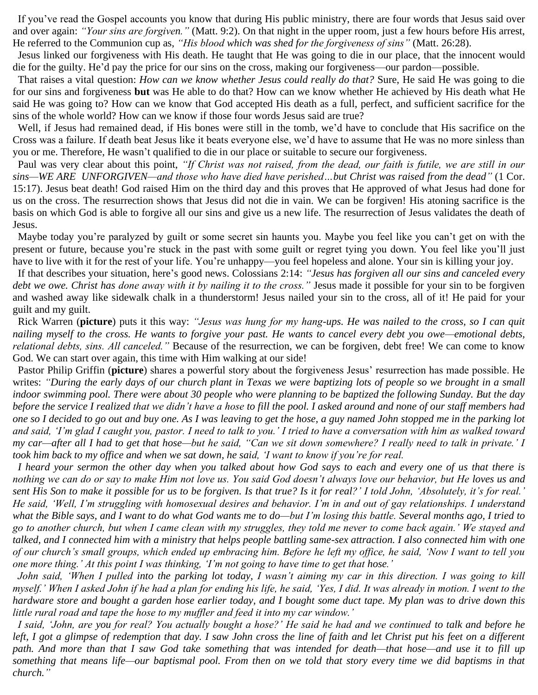If you've read the Gospel accounts you know that during His public ministry, there are four words that Jesus said over and over again: *"Your sins are forgiven."* (Matt. 9:2). On that night in the upper room, just a few hours before His arrest, He referred to the Communion cup as, *"His blood which was shed for the forgiveness of sins"* (Matt. 26:28).

 Jesus linked our forgiveness with His death. He taught that He was going to die in our place, that the innocent would die for the guilty. He'd pay the price for our sins on the cross, making our forgiveness—our pardon—possible.

 That raises a vital question: *How can we know whether Jesus could really do that?* Sure, He said He was going to die for our sins and forgiveness **but** was He able to do that? How can we know whether He achieved by His death what He said He was going to? How can we know that God accepted His death as a full, perfect, and sufficient sacrifice for the sins of the whole world? How can we know if those four words Jesus said are true?

 Well, if Jesus had remained dead, if His bones were still in the tomb, we'd have to conclude that His sacrifice on the Cross was a failure. If death beat Jesus like it beats everyone else, we'd have to assume that He was no more sinless than you or me. Therefore, He wasn't qualified to die in our place or suitable to secure our forgiveness.

 Paul was very clear about this point, *"If Christ was not raised, from the dead, our faith is futile, we are still in our sins—WE ARE UNFORGIVEN—and those who have died have perished…but Christ was raised from the dead"* (1 Cor. 15:17). Jesus beat death! God raised Him on the third day and this proves that He approved of what Jesus had done for us on the cross. The resurrection shows that Jesus did not die in vain. We can be forgiven! His atoning sacrifice is the basis on which God is able to forgive all our sins and give us a new life. The resurrection of Jesus validates the death of Jesus.

 Maybe today you're paralyzed by guilt or some secret sin haunts you. Maybe you feel like you can't get on with the present or future, because you're stuck in the past with some guilt or regret tying you down. You feel like you'll just have to live with it for the rest of your life. You're unhappy—you feel hopeless and alone. Your sin is killing your joy.

 If that describes your situation, here's good news. Colossians 2:14: *"Jesus has forgiven all our sins and canceled every debt we owe. Christ has done away with it by nailing it to the cross."* Jesus made it possible for your sin to be forgiven and washed away like sidewalk chalk in a thunderstorm! Jesus nailed your sin to the cross, all of it! He paid for your guilt and my guilt.

 Rick Warren (**picture**) puts it this way: *"Jesus was hung for my hang-ups. He was nailed to the cross, so I can quit nailing myself to the cross. He wants to forgive your past. He wants to cancel every debt you owe—emotional debts, relational debts, sins. All canceled."* Because of the resurrection, we can be forgiven, debt free! We can come to know God. We can start over again, this time with Him walking at our side!

 Pastor Philip Griffin (**picture**) shares a powerful story about the forgiveness Jesus' resurrection has made possible. He writes: *"During the early days of our church plant in Texas we were baptizing lots of people so we brought in a small indoor swimming pool. There were about 30 people who were planning to be baptized the following Sunday. But the day before the service I realized that we didn't have a hose to fill the pool. I asked around and none of our staff members had one so I decided to go out and buy one. As I was leaving to get the hose, a guy named John stopped me in the parking lot and said, 'I'm glad I caught you, pastor. I need to talk to you.' I tried to have a conversation with him as walked toward my car—after all I had to get that hose—but he said, "Can we sit down somewhere? I really need to talk in private.' I took him back to my office and when we sat down, he said, 'I want to know if you're for real.*

 *I heard your sermon the other day when you talked about how God says to each and every one of us that there is nothing we can do or say to make Him not love us. You said God doesn't always love our behavior, but He loves us and sent His Son to make it possible for us to be forgiven. Is that true? Is it for real?' I told John, 'Absolutely, it's for real.' He said, 'Well, I'm struggling with homosexual desires and behavior. I'm in and out of gay relationships. I understand what the Bible says, and I want to do what God wants me to do—but I'm losing this battle. Several months ago, I tried to go to another church, but when I came clean with my struggles, they told me never to come back again.' We stayed and talked, and I connected him with a ministry that helps people battling same-sex attraction. I also connected him with one of our church's small groups, which ended up embracing him. Before he left my office, he said, 'Now I want to tell you one more thing.' At this point I was thinking, 'I'm not going to have time to get that hose.'* 

 *John said, 'When I pulled into the parking lot today, I wasn't aiming my car in this direction. I was going to kill myself.' When I asked John if he had a plan for ending his life, he said, 'Yes, I did. It was already in motion. I went to the hardware store and bought a garden hose earlier today, and I bought some duct tape. My plan was to drive down this little rural road and tape the hose to my muffler and feed it into my car window.'* 

*I said, 'John, are you for real? You actually bought a hose?' He said he had and we continued to talk and before he*  left, I got a glimpse of redemption that day. I saw John cross the line of faith and let Christ put his feet on a different *path. And more than that I saw God take something that was intended for death—that hose—and use it to fill up something that means life—our baptismal pool. From then on we told that story every time we did baptisms in that church."*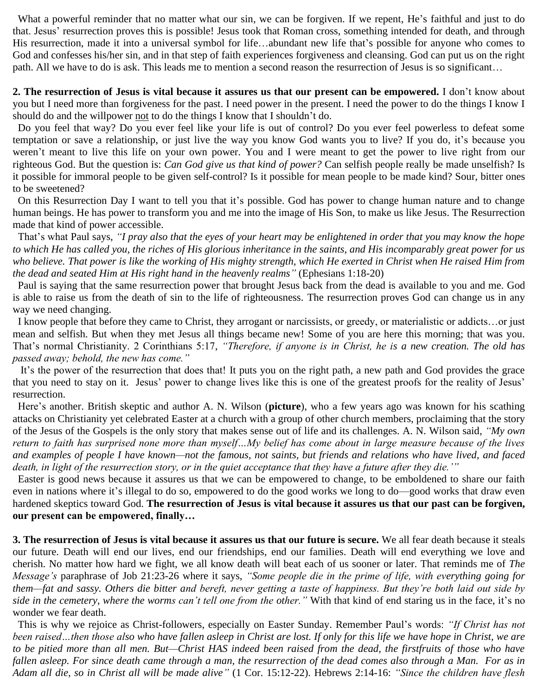What a powerful reminder that no matter what our sin, we can be forgiven. If we repent, He's faithful and just to do that. Jesus' resurrection proves this is possible! Jesus took that Roman cross, something intended for death, and through His resurrection, made it into a universal symbol for life…abundant new life that's possible for anyone who comes to God and confesses his/her sin, and in that step of faith experiences forgiveness and cleansing. God can put us on the right path. All we have to do is ask. This leads me to mention a second reason the resurrection of Jesus is so significant…

**2. The resurrection of Jesus is vital because it assures us that our present can be empowered.** I don't know about you but I need more than forgiveness for the past. I need power in the present. I need the power to do the things I know I should do and the willpower not to do the things I know that I shouldn't do.

 Do you feel that way? Do you ever feel like your life is out of control? Do you ever feel powerless to defeat some temptation or save a relationship, or just live the way you know God wants you to live? If you do, it's because you weren't meant to live this life on your own power. You and I were meant to get the power to live right from our righteous God. But the question is: *Can God give us that kind of power?* Can selfish people really be made unselfish? Is it possible for immoral people to be given self-control? Is it possible for mean people to be made kind? Sour, bitter ones to be sweetened?

 On this Resurrection Day I want to tell you that it's possible. God has power to change human nature and to change human beings. He has power to transform you and me into the image of His Son, to make us like Jesus. The Resurrection made that kind of power accessible.

 That's what Paul says, *"I pray also that the eyes of your heart may be enlightened in order that you may know the hope to which He has called you, the riches of His glorious inheritance in the saints, and His incomparably great power for us who believe. That power is like the working of His mighty strength, which He exerted in Christ when He raised Him from the dead and seated Him at His right hand in the heavenly realms"* (Ephesians 1:18-20)

 Paul is saying that the same resurrection power that brought Jesus back from the dead is available to you and me. God is able to raise us from the death of sin to the life of righteousness. The resurrection proves God can change us in any way we need changing.

 I know people that before they came to Christ, they arrogant or narcissists, or greedy, or materialistic or addicts…or just mean and selfish. But when they met Jesus all things became new! Some of you are here this morning; that was you. That's normal Christianity. 2 Corinthians 5:17, *"Therefore, if anyone is in Christ, he is a new creation. The old has passed away; behold, the new has come."*

It's the power of the resurrection that does that! It puts you on the right path, a new path and God provides the grace that you need to stay on it. Jesus' power to change lives like this is one of the greatest proofs for the reality of Jesus' resurrection.

 Here's another. British skeptic and author A. N. Wilson (**picture**), who a few years ago was known for his scathing attacks on Christianity yet celebrated Easter at a church with a group of other church members, proclaiming that the story of the Jesus of the Gospels is the only story that makes sense out of life and its challenges. A. N. Wilson said, *"My own return to faith has surprised none more than myself…My belief has come about in large measure because of the lives and examples of people I have known—not the famous, not saints, but friends and relations who have lived, and faced death, in light of the resurrection story, or in the quiet acceptance that they have a future after they die.'"*

 Easter is good news because it assures us that we can be empowered to change, to be emboldened to share our faith even in nations where it's illegal to do so, empowered to do the good works we long to do—good works that draw even hardened skeptics toward God. **The resurrection of Jesus is vital because it assures us that our past can be forgiven, our present can be empowered, finally…**

**3. The resurrection of Jesus is vital because it assures us that our future is secure.** We all fear death because it steals our future. Death will end our lives, end our friendships, end our families. Death will end everything we love and cherish. No matter how hard we fight, we all know death will beat each of us sooner or later. That reminds me of *The Message's* paraphrase of Job 21:23-26 where it says, *"Some people die in the prime of life, with everything going for them—fat and sassy. Others die bitter and bereft, never getting a taste of happiness. But they're both laid out side by side in the cemetery, where the worms can't tell one from the other."* With that kind of end staring us in the face, it's no wonder we fear death.

 This is why we rejoice as Christ-followers, especially on Easter Sunday. Remember Paul's words: *"If Christ has not been raised…then those also who have fallen asleep in Christ are lost. If only for this life we have hope in Christ, we are*  to be pitied more than all men. But—Christ HAS indeed been raised from the dead, the firstfruits of those who have *fallen asleep. For since death came through a man, the resurrection of the dead comes also through a Man. For as in Adam all die, so in Christ all will be made alive"* (1 Cor. 15:12-22). Hebrews 2:14-16: *"Since the children have flesh*